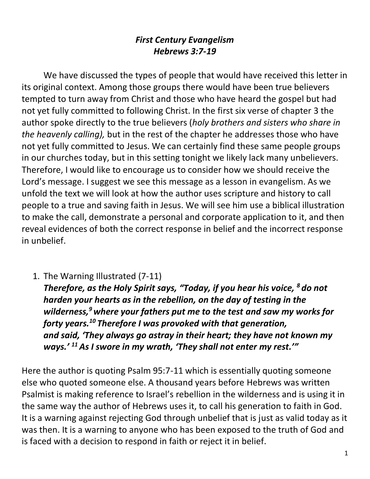#### *First Century Evangelism Hebrews 3:7-19*

We have discussed the types of people that would have received this letter in its original context. Among those groups there would have been true believers tempted to turn away from Christ and those who have heard the gospel but had not yet fully committed to following Christ. In the first six verse of chapter 3 the author spoke directly to the true believers (*holy brothers and sisters who share in the heavenly calling),* but in the rest of the chapter he addresses those who have not yet fully committed to Jesus. We can certainly find these same people groups in our churches today, but in this setting tonight we likely lack many unbelievers. Therefore, I would like to encourage us to consider how we should receive the Lord's message. I suggest we see this message as a lesson in evangelism. As we unfold the text we will look at how the author uses scripture and history to call people to a true and saving faith in Jesus. We will see him use a biblical illustration to make the call, demonstrate a personal and corporate application to it, and then reveal evidences of both the correct response in belief and the incorrect response in unbelief.

1. The Warning Illustrated (7-11)

*Therefore, as the Holy Spirit says, "Today, if you hear his voice, <sup>8</sup> do not harden your hearts as in the rebellion, on the day of testing in the wilderness,<sup>9</sup>where your fathers put me to the test and saw my works for forty years.<sup>10</sup> Therefore I was provoked with that generation, and said, 'They always go astray in their heart; they have not known my ways.' <sup>11</sup> As I swore in my wrath, 'They shall not enter my rest.'"*

Here the author is quoting Psalm 95:7-11 which is essentially quoting someone else who quoted someone else. A thousand years before Hebrews was written Psalmist is making reference to Israel's rebellion in the wilderness and is using it in the same way the author of Hebrews uses it, to call his generation to faith in God. It is a warning against rejecting God through unbelief that is just as valid today as it was then. It is a warning to anyone who has been exposed to the truth of God and is faced with a decision to respond in faith or reject it in belief.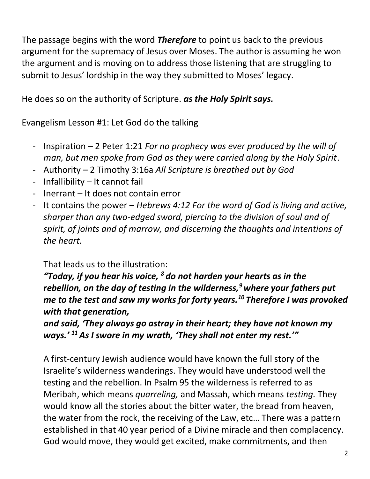The passage begins with the word *Therefore* to point us back to the previous argument for the supremacy of Jesus over Moses. The author is assuming he won the argument and is moving on to address those listening that are struggling to submit to Jesus' lordship in the way they submitted to Moses' legacy.

He does so on the authority of Scripture. *as the Holy Spirit says.* 

Evangelism Lesson #1: Let God do the talking

- Inspiration 2 Peter 1:21 *For no prophecy was ever produced by the will of man, but men spoke from God as they were carried along by the Holy Spirit*.
- Authority 2 Timothy 3:16a *All Scripture is breathed out by God*
- Infallibility It cannot fail
- Inerrant It does not contain error
- It contains the power *Hebrews 4:12 For the word of God is living and active, sharper than any two-edged sword, piercing to the division of soul and of spirit, of joints and of marrow, and discerning the thoughts and intentions of the heart.*

That leads us to the illustration:

*"Today, if you hear his voice, <sup>8</sup> do not harden your hearts as in the rebellion, on the day of testing in the wilderness,<sup>9</sup>where your fathers put me to the test and saw my works for forty years.<sup>10</sup> Therefore I was provoked with that generation,*

*and said, 'They always go astray in their heart; they have not known my ways.' <sup>11</sup> As I swore in my wrath, 'They shall not enter my rest.'"*

A first-century Jewish audience would have known the full story of the Israelite's wilderness wanderings. They would have understood well the testing and the rebellion. In Psalm 95 the wilderness is referred to as Meribah, which means *quarreling,* and Massah, which means *testing.* They would know all the stories about the bitter water, the bread from heaven, the water from the rock, the receiving of the Law, etc… There was a pattern established in that 40 year period of a Divine miracle and then complacency. God would move, they would get excited, make commitments, and then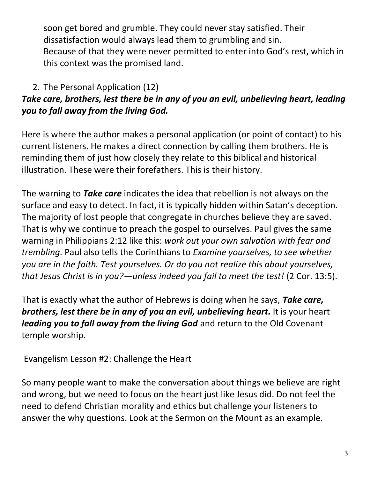soon get bored and grumble. They could never stay satisfied. Their dissatisfaction would always lead them to grumbling and sin. Because of that they were never permitted to enter into God's rest, which in this context was the promised land.

### 2. The Personal Application (12)

# *Take care, brothers, lest there be in any of you an evil, unbelieving heart, leading you to fall away from the living God.*

Here is where the author makes a personal application (or point of contact) to his current listeners. He makes a direct connection by calling them brothers. He is reminding them of just how closely they relate to this biblical and historical illustration. These were their forefathers. This is their history.

The warning to *Take care* indicates the idea that rebellion is not always on the surface and easy to detect. In fact, it is typically hidden within Satan's deception. The majority of lost people that congregate in churches believe they are saved. That is why we continue to preach the gospel to ourselves. Paul gives the same warning in Philippians 2:12 like this: *work out your own salvation with fear and trembling.* Paul also tells the Corinthians to *Examine yourselves, to see whether you are in the faith. Test yourselves. Or do you not realize this about yourselves, that Jesus Christ is in you?—unless indeed you fail to meet the test!* (2 Cor. 13:5).

That is exactly what the author of Hebrews is doing when he says, *Take care, brothers, lest there be in any of you an evil, unbelieving heart.* It is your heart *leading you to fall away from the living God* and return to the Old Covenant temple worship.

Evangelism Lesson #2: Challenge the Heart

So many people want to make the conversation about things we believe are right and wrong, but we need to focus on the heart just like Jesus did. Do not feel the need to defend Christian morality and ethics but challenge your listeners to answer the why questions. Look at the Sermon on the Mount as an example.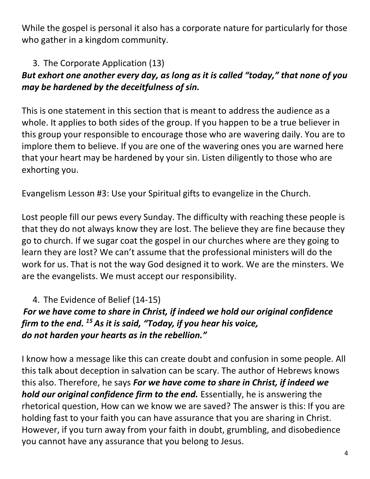While the gospel is personal it also has a corporate nature for particularly for those who gather in a kingdom community.

# 3. The Corporate Application (13)

# *But exhort one another every day, as long as it is called "today," that none of you may be hardened by the deceitfulness of sin.*

This is one statement in this section that is meant to address the audience as a whole. It applies to both sides of the group. If you happen to be a true believer in this group your responsible to encourage those who are wavering daily. You are to implore them to believe. If you are one of the wavering ones you are warned here that your heart may be hardened by your sin. Listen diligently to those who are exhorting you.

Evangelism Lesson #3: Use your Spiritual gifts to evangelize in the Church.

Lost people fill our pews every Sunday. The difficulty with reaching these people is that they do not always know they are lost. The believe they are fine because they go to church. If we sugar coat the gospel in our churches where are they going to learn they are lost? We can't assume that the professional ministers will do the work for us. That is not the way God designed it to work. We are the minsters. We are the evangelists. We must accept our responsibility.

# 4. The Evidence of Belief (14-15)

### *For we have come to share in Christ, if indeed we hold our original confidence firm to the end. <sup>15</sup> As it is said, "Today, if you hear his voice, do not harden your hearts as in the rebellion."*

I know how a message like this can create doubt and confusion in some people. All this talk about deception in salvation can be scary. The author of Hebrews knows this also. Therefore, he says *For we have come to share in Christ, if indeed we hold our original confidence firm to the end.* Essentially, he is answering the rhetorical question, How can we know we are saved? The answer is this: If you are holding fast to your faith you can have assurance that you are sharing in Christ. However, if you turn away from your faith in doubt, grumbling, and disobedience you cannot have any assurance that you belong to Jesus.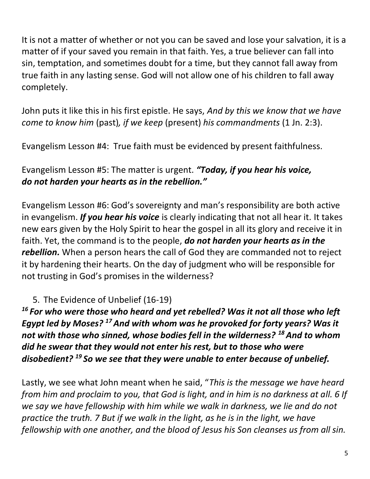It is not a matter of whether or not you can be saved and lose your salvation, it is a matter of if your saved you remain in that faith. Yes, a true believer can fall into sin, temptation, and sometimes doubt for a time, but they cannot fall away from true faith in any lasting sense. God will not allow one of his children to fall away completely.

John puts it like this in his first epistle. He says, *And by this we know that we have come to know him* (past)*, if we keep* (present) *his commandments* (1 Jn. 2:3).

Evangelism Lesson #4: True faith must be evidenced by present faithfulness.

#### Evangelism Lesson #5: The matter is urgent. *"Today, if you hear his voice, do not harden your hearts as in the rebellion."*

Evangelism Lesson #6: God's sovereignty and man's responsibility are both active in evangelism. *If you hear his voice* is clearly indicating that not all hear it. It takes new ears given by the Holy Spirit to hear the gospel in all its glory and receive it in faith. Yet, the command is to the people, *do not harden your hearts as in the rebellion.* When a person hears the call of God they are commanded not to reject it by hardening their hearts. On the day of judgment who will be responsible for not trusting in God's promises in the wilderness?

#### 5. The Evidence of Unbelief (16-19)

*<sup>16</sup> For who were those who heard and yet rebelled? Was it not all those who left Egypt led by Moses? <sup>17</sup> And with whom was he provoked for forty years? Was it not with those who sinned, whose bodies fell in the wilderness? <sup>18</sup> And to whom did he swear that they would not enter his rest, but to those who were disobedient? <sup>19</sup> So we see that they were unable to enter because of unbelief.*

Lastly, we see what John meant when he said, "*This is the message we have heard from him and proclaim to you, that God is light, and in him is no darkness at all. 6 If we say we have fellowship with him while we walk in darkness, we lie and do not practice the truth. 7 But if we walk in the light, as he is in the light, we have fellowship with one another, and the blood of Jesus his Son cleanses us from all sin.*